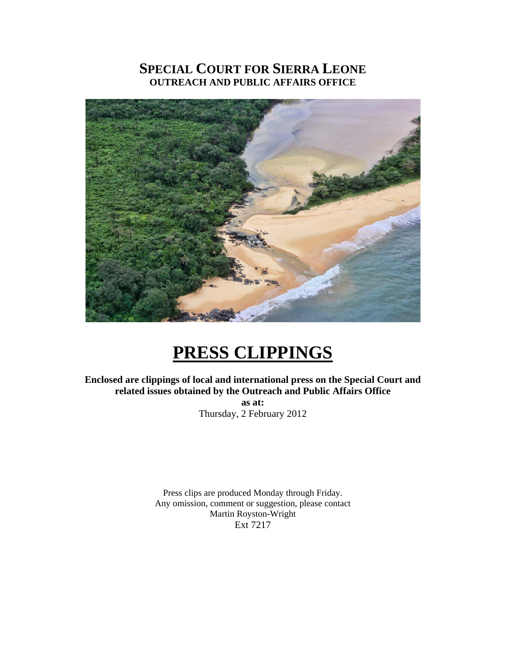## **SPECIAL COURT FOR SIERRA LEONE OUTREACH AND PUBLIC AFFAIRS OFFICE**



# **PRESS CLIPPINGS**

**Enclosed are clippings of local and international press on the Special Court and related issues obtained by the Outreach and Public Affairs Office as at:** 

Thursday, 2 February 2012

Press clips are produced Monday through Friday. Any omission, comment or suggestion, please contact Martin Royston-Wright Ext 7217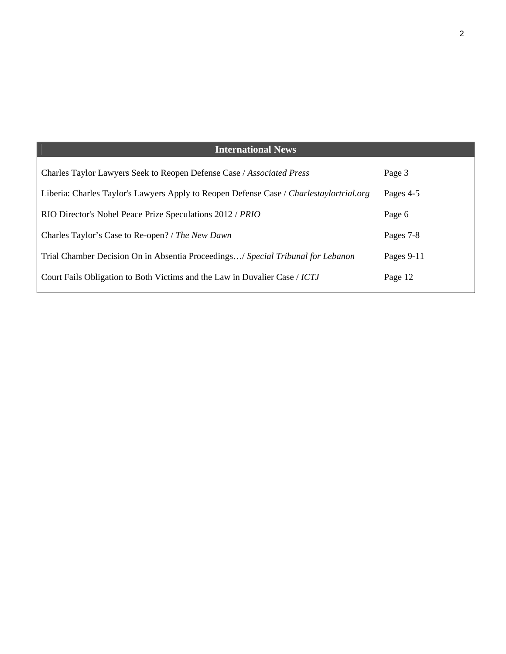# **International News**

| Charles Taylor Lawyers Seek to Reopen Defense Case / Associated Press                   | Page 3       |
|-----------------------------------------------------------------------------------------|--------------|
| Liberia: Charles Taylor's Lawyers Apply to Reopen Defense Case / Charlestaylortrial.org | Pages 4-5    |
| RIO Director's Nobel Peace Prize Speculations 2012 / PRIO                               | Page 6       |
| Charles Taylor's Case to Re-open? / The New Dawn                                        | Pages 7-8    |
| Trial Chamber Decision On in Absentia Proceedings/ Special Tribunal for Lebanon         | Pages $9-11$ |
| Court Fails Obligation to Both Victims and the Law in Duvalier Case / ICTJ              | Page 12      |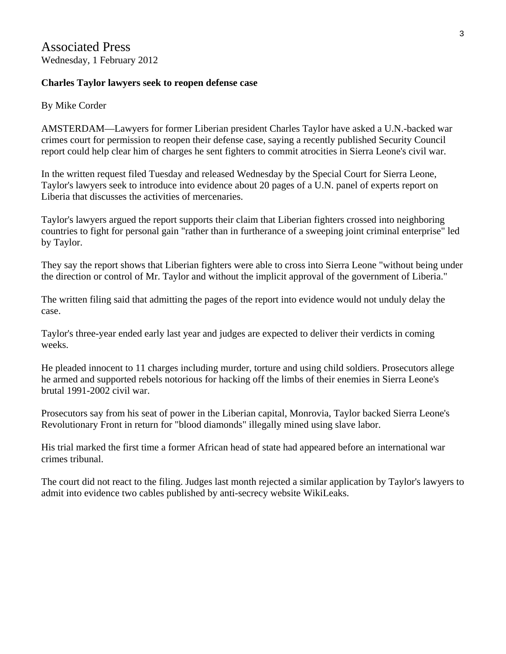#### **Charles Taylor lawyers seek to reopen defense case**

By Mike Corder

AMSTERDAM—Lawyers for former Liberian president Charles Taylor have asked a U.N.-backed war crimes court for permission to reopen their defense case, saying a recently published Security Council report could help clear him of charges he sent fighters to commit atrocities in Sierra Leone's civil war.

In the written request filed Tuesday and released Wednesday by the Special Court for Sierra Leone, Taylor's lawyers seek to introduce into evidence about 20 pages of a U.N. panel of experts report on Liberia that discusses the activities of mercenaries.

Taylor's lawyers argued the report supports their claim that Liberian fighters crossed into neighboring countries to fight for personal gain "rather than in furtherance of a sweeping joint criminal enterprise" led by Taylor.

They say the report shows that Liberian fighters were able to cross into Sierra Leone "without being under the direction or control of Mr. Taylor and without the implicit approval of the government of Liberia."

The written filing said that admitting the pages of the report into evidence would not unduly delay the case.

Taylor's three-year ended early last year and judges are expected to deliver their verdicts in coming weeks.

He pleaded innocent to 11 charges including murder, torture and using child soldiers. Prosecutors allege he armed and supported rebels notorious for hacking off the limbs of their enemies in Sierra Leone's brutal 1991-2002 civil war.

Prosecutors say from his seat of power in the Liberian capital, Monrovia, Taylor backed Sierra Leone's Revolutionary Front in return for "blood diamonds" illegally mined using slave labor.

His trial marked the first time a former African head of state had appeared before an international war crimes tribunal.

The court did not react to the filing. Judges last month rejected a similar application by Taylor's lawyers to admit into evidence two cables published by anti-secrecy website WikiLeaks.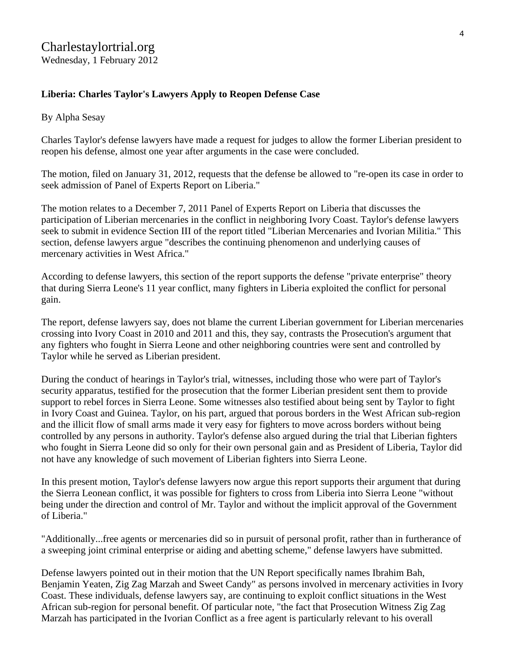## **Liberia: Charles Taylor's Lawyers Apply to Reopen Defense Case**

#### By Alpha Sesay

Charles Taylor's defense lawyers have made a request for judges to allow the former Liberian president to reopen his defense, almost one year after arguments in the case were concluded.

The motion, filed on January 31, 2012, requests that the defense be allowed to "re-open its case in order to seek admission of Panel of Experts Report on Liberia."

The motion relates to a December 7, 2011 Panel of Experts Report on Liberia that discusses the participation of Liberian mercenaries in the conflict in neighboring Ivory Coast. Taylor's defense lawyers seek to submit in evidence Section III of the report titled "Liberian Mercenaries and Ivorian Militia." This section, defense lawyers argue "describes the continuing phenomenon and underlying causes of mercenary activities in West Africa."

According to defense lawyers, this section of the report supports the defense "private enterprise" theory that during Sierra Leone's 11 year conflict, many fighters in Liberia exploited the conflict for personal gain.

The report, defense lawyers say, does not blame the current Liberian government for Liberian mercenaries crossing into Ivory Coast in 2010 and 2011 and this, they say, contrasts the Prosecution's argument that any fighters who fought in Sierra Leone and other neighboring countries were sent and controlled by Taylor while he served as Liberian president.

During the conduct of hearings in Taylor's trial, witnesses, including those who were part of Taylor's security apparatus, testified for the prosecution that the former Liberian president sent them to provide support to rebel forces in Sierra Leone. Some witnesses also testified about being sent by Taylor to fight in Ivory Coast and Guinea. Taylor, on his part, argued that porous borders in the West African sub-region and the illicit flow of small arms made it very easy for fighters to move across borders without being controlled by any persons in authority. Taylor's defense also argued during the trial that Liberian fighters who fought in Sierra Leone did so only for their own personal gain and as President of Liberia, Taylor did not have any knowledge of such movement of Liberian fighters into Sierra Leone.

In this present motion, Taylor's defense lawyers now argue this report supports their argument that during the Sierra Leonean conflict, it was possible for fighters to cross from Liberia into Sierra Leone "without being under the direction and control of Mr. Taylor and without the implicit approval of the Government of Liberia."

"Additionally...free agents or mercenaries did so in pursuit of personal profit, rather than in furtherance of a sweeping joint criminal enterprise or aiding and abetting scheme," defense lawyers have submitted.

Defense lawyers pointed out in their motion that the UN Report specifically names Ibrahim Bah, Benjamin Yeaten, Zig Zag Marzah and Sweet Candy" as persons involved in mercenary activities in Ivory Coast. These individuals, defense lawyers say, are continuing to exploit conflict situations in the West African sub-region for personal benefit. Of particular note, "the fact that Prosecution Witness Zig Zag Marzah has participated in the Ivorian Conflict as a free agent is particularly relevant to his overall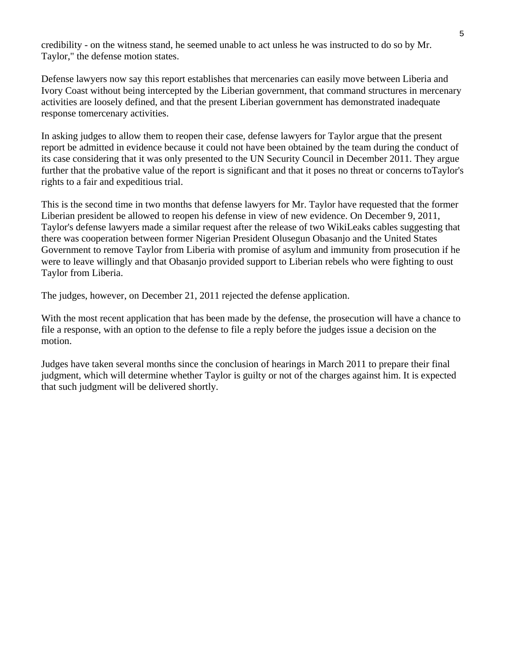credibility - on the witness stand, he seemed unable to act unless he was instructed to do so by Mr. Taylor," the defense motion states.

Defense lawyers now say this report establishes that mercenaries can easily move between Liberia and Ivory Coast without being intercepted by the Liberian government, that command structures in mercenary activities are loosely defined, and that the present Liberian government has demonstrated inadequate response tomercenary activities.

In asking judges to allow them to reopen their case, defense lawyers for Taylor argue that the present report be admitted in evidence because it could not have been obtained by the team during the conduct of its case considering that it was only presented to the UN Security Council in December 2011. They argue further that the probative value of the report is significant and that it poses no threat or concerns toTaylor's rights to a fair and expeditious trial.

This is the second time in two months that defense lawyers for Mr. Taylor have requested that the former Liberian president be allowed to reopen his defense in view of new evidence. On December 9, 2011, Taylor's defense lawyers made a similar request after the release of two WikiLeaks cables suggesting that there was cooperation between former Nigerian President Olusegun Obasanjo and the United States Government to remove Taylor from Liberia with promise of asylum and immunity from prosecution if he were to leave willingly and that Obasanjo provided support to Liberian rebels who were fighting to oust Taylor from Liberia.

The judges, however, on December 21, 2011 rejected the defense application.

With the most recent application that has been made by the defense, the prosecution will have a chance to file a response, with an option to the defense to file a reply before the judges issue a decision on the motion.

Judges have taken several months since the conclusion of hearings in March 2011 to prepare their final judgment, which will determine whether Taylor is guilty or not of the charges against him. It is expected that such judgment will be delivered shortly.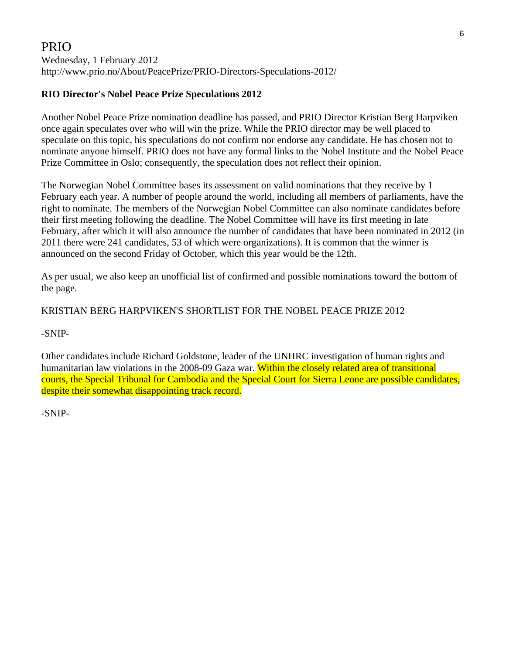## PRIO

Wednesday, 1 February 2012 http://www.prio.no/About/PeacePrize/PRIO-Directors-Speculations-2012/

### **RIO Director's Nobel Peace Prize Speculations 2012**

Another Nobel Peace Prize nomination deadline has passed, and PRIO Director Kristian Berg Harpviken once again speculates over who will win the prize. While the PRIO director may be well placed to speculate on this topic, his speculations do not confirm nor endorse any candidate. He has chosen not to nominate anyone himself. PRIO does not have any formal links to the Nobel Institute and the Nobel Peace Prize Committee in Oslo; consequently, the speculation does not reflect their opinion.

The Norwegian Nobel Committee bases its assessment on valid nominations that they receive by 1 February each year. A number of people around the world, including all members of parliaments, have the right to nominate. The members of the Norwegian Nobel Committee can also nominate candidates before their first meeting following the deadline. The Nobel Committee will have its first meeting in late February, after which it will also announce the number of candidates that have been nominated in 2012 (in 2011 there were 241 candidates, 53 of which were organizations). It is common that the winner is announced on the second Friday of October, which this year would be the 12th.

As per usual, we also keep an unofficial list of confirmed and possible nominations toward the bottom of the page.

### KRISTIAN BERG HARPVIKEN'S SHORTLIST FOR THE NOBEL PEACE PRIZE 2012

#### -SNIP-

Other candidates include Richard Goldstone, leader of the UNHRC investigation of human rights and humanitarian law violations in the 2008-09 Gaza war. Within the closely related area of transitional courts, the Special Tribunal for Cambodia and the Special Court for Sierra Leone are possible candidates, despite their somewhat disappointing track record.

-SNIP-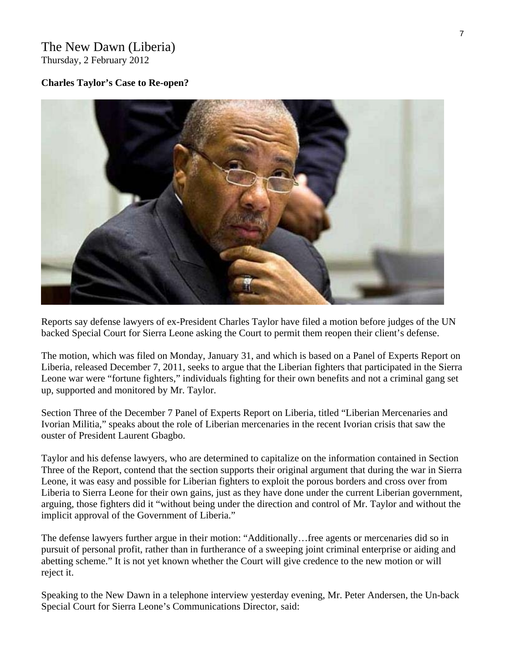#### The New Dawn (Liberia) Thursday, 2 February 2012

#### **Charles Taylor's Case to Re-open?**



Reports say defense lawyers of ex-President Charles Taylor have filed a motion before judges of the UN backed Special Court for Sierra Leone asking the Court to permit them reopen their client's defense.

The motion, which was filed on Monday, January 31, and which is based on a Panel of Experts Report on Liberia, released December 7, 2011, seeks to argue that the Liberian fighters that participated in the Sierra Leone war were "fortune fighters," individuals fighting for their own benefits and not a criminal gang set up, supported and monitored by Mr. Taylor.

Section Three of the December 7 Panel of Experts Report on Liberia, titled "Liberian Mercenaries and Ivorian Militia," speaks about the role of Liberian mercenaries in the recent Ivorian crisis that saw the ouster of President Laurent Gbagbo.

Taylor and his defense lawyers, who are determined to capitalize on the information contained in Section Three of the Report, contend that the section supports their original argument that during the war in Sierra Leone, it was easy and possible for Liberian fighters to exploit the porous borders and cross over from Liberia to Sierra Leone for their own gains, just as they have done under the current Liberian government, arguing, those fighters did it "without being under the direction and control of Mr. Taylor and without the implicit approval of the Government of Liberia."

The defense lawyers further argue in their motion: "Additionally…free agents or mercenaries did so in pursuit of personal profit, rather than in furtherance of a sweeping joint criminal enterprise or aiding and abetting scheme." It is not yet known whether the Court will give credence to the new motion or will reject it.

Speaking to the New Dawn in a telephone interview yesterday evening, Mr. Peter Andersen, the Un-back Special Court for Sierra Leone's Communications Director, said: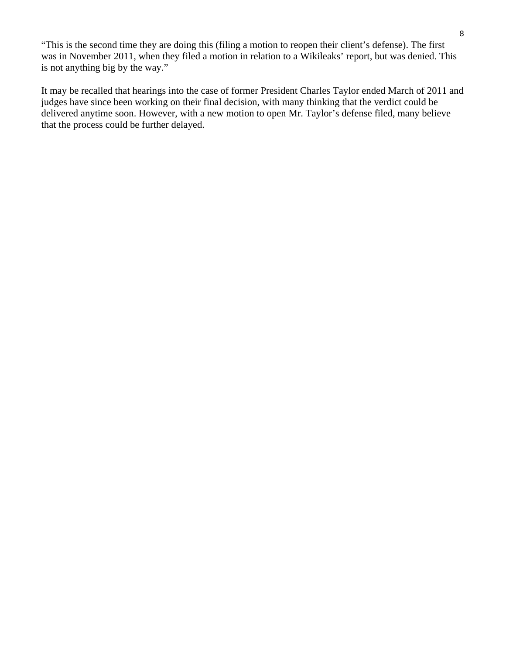"This is the second time they are doing this (filing a motion to reopen their client's defense). The first was in November 2011, when they filed a motion in relation to a Wikileaks' report, but was denied. This is not anything big by the way."

It may be recalled that hearings into the case of former President Charles Taylor ended March of 2011 and judges have since been working on their final decision, with many thinking that the verdict could be delivered anytime soon. However, with a new motion to open Mr. Taylor's defense filed, many believe that the process could be further delayed.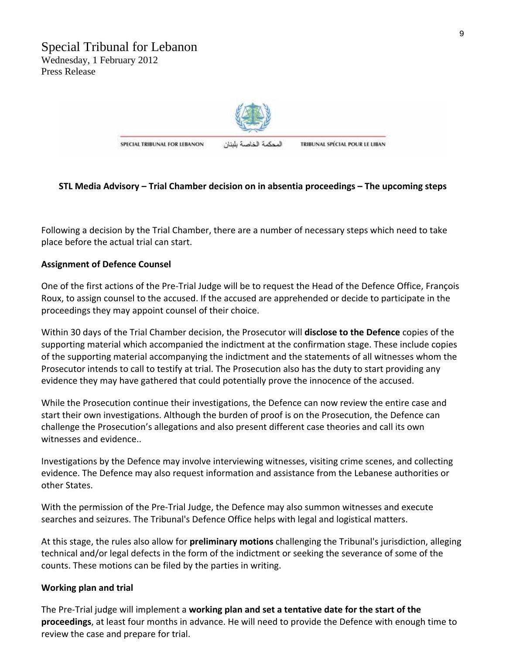

SPECIAL TRIBUNAL FOR LEBANON

المحكمة الخاصة بلبنان

TRIBUNAL SPÉCIAL POUR LE LIBAN

#### **STL Media Advisory – Trial Chamber decision on in absentia proceedings – The upcoming steps**

Following a decision by the Trial Chamber, there are a number of necessary steps which need to take place before the actual trial can start.

#### **Assignment of Defence Counsel**

One of the first actions of the Pre‐Trial Judge will be to request the Head of the Defence Office, François Roux, to assign counsel to the accused. If the accused are apprehended or decide to participate in the proceedings they may appoint counsel of their choice.

Within 30 days of the Trial Chamber decision, the Prosecutor will **disclose to the Defence** copies of the supporting material which accompanied the indictment at the confirmation stage. These include copies of the supporting material accompanying the indictment and the statements of all witnesses whom the Prosecutor intends to call to testify at trial. The Prosecution also has the duty to start providing any evidence they may have gathered that could potentially prove the innocence of the accused.

While the Prosecution continue their investigations, the Defence can now review the entire case and start their own investigations. Although the burden of proof is on the Prosecution, the Defence can challenge the Prosecution's allegations and also present different case theories and call its own witnesses and evidence..

Investigations by the Defence may involve interviewing witnesses, visiting crime scenes, and collecting evidence. The Defence may also request information and assistance from the Lebanese authorities or other States.

With the permission of the Pre-Trial Judge, the Defence may also summon witnesses and execute searches and seizures. The Tribunal's Defence Office helps with legal and logistical matters.

At this stage, the rules also allow for **preliminary motions** challenging the Tribunal's jurisdiction, alleging technical and/or legal defects in the form of the indictment or seeking the severance of some of the counts. These motions can be filed by the parties in writing.

#### **Working plan and trial**

The Pre‐Trial judge will implement a **working plan and set a tentative date for the start of the proceedings**, at least four months in advance. He will need to provide the Defence with enough time to review the case and prepare for trial.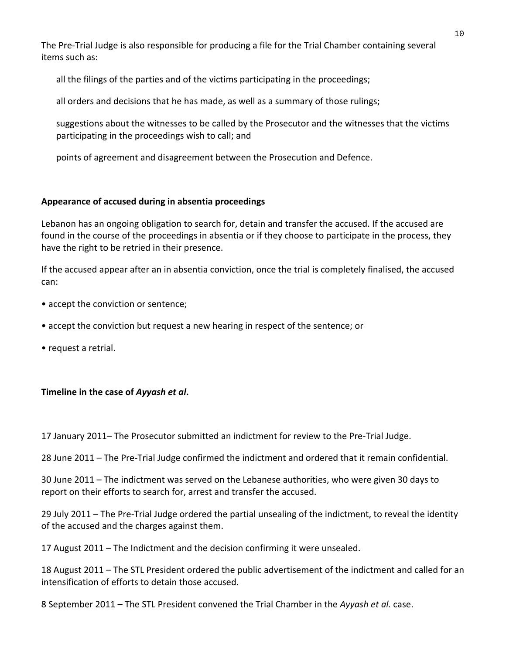The Pre‐Trial Judge is also responsible for producing a file for the Trial Chamber containing several items such as:

all the filings of the parties and of the victims participating in the proceedings;

all orders and decisions that he has made, as well as a summary of those rulings;

suggestions about the witnesses to be called by the Prosecutor and the witnesses that the victims participating in the proceedings wish to call; and

points of agreement and disagreement between the Prosecution and Defence.

#### **Appearance of accused during in absentia proceedings**

Lebanon has an ongoing obligation to search for, detain and transfer the accused. If the accused are found in the course of the proceedings in absentia or if they choose to participate in the process, they have the right to be retried in their presence.

If the accused appear after an in absentia conviction, once the trial is completely finalised, the accused can:

- accept the conviction or sentence;
- accept the conviction but request a new hearing in respect of the sentence; or
- request a retrial.

#### **Timeline in the case of** *Ayyash et al***.**

17 January 2011– The Prosecutor submitted an indictment for review to the Pre-Trial Judge.

28 June 2011 – The Pre‐Trial Judge confirmed the indictment and ordered that it remain confidential.

30 June 2011 – The indictment was served on the Lebanese authorities, who were given 30 days to report on their efforts to search for, arrest and transfer the accused.

29 July 2011 – The Pre‐Trial Judge ordered the partial unsealing of the indictment, to reveal the identity of the accused and the charges against them.

17 August 2011 – The Indictment and the decision confirming it were unsealed.

18 August 2011 – The STL President ordered the public advertisement of the indictment and called for an intensification of efforts to detain those accused.

8 September 2011 – The STL President convened the Trial Chamber in the *Ayyash et al.* case.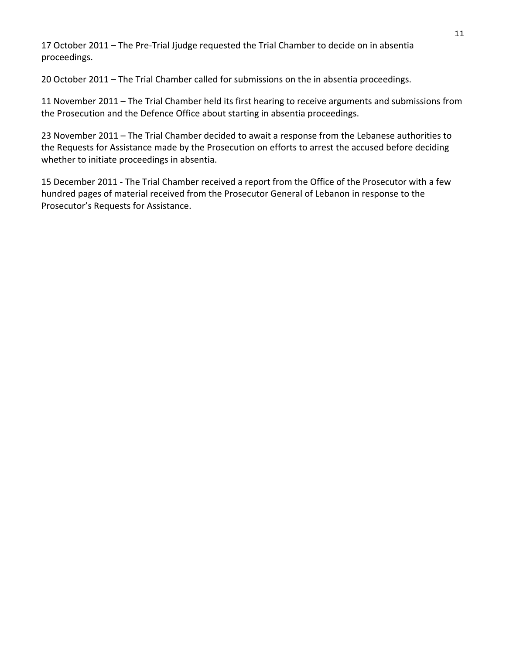17 October 2011 – The Pre-Trial Jjudge requested the Trial Chamber to decide on in absentia proceedings.

20 October 2011 – The Trial Chamber called for submissions on the in absentia proceedings.

11 November 2011 – The Trial Chamber held its first hearing to receive arguments and submissions from the Prosecution and the Defence Office about starting in absentia proceedings.

23 November 2011 – The Trial Chamber decided to await a response from the Lebanese authorities to the Requests for Assistance made by the Prosecution on efforts to arrest the accused before deciding whether to initiate proceedings in absentia.

15 December 2011 ‐ The Trial Chamber received a report from the Office of the Prosecutor with a few hundred pages of material received from the Prosecutor General of Lebanon in response to the Prosecutor's Requests for Assistance.